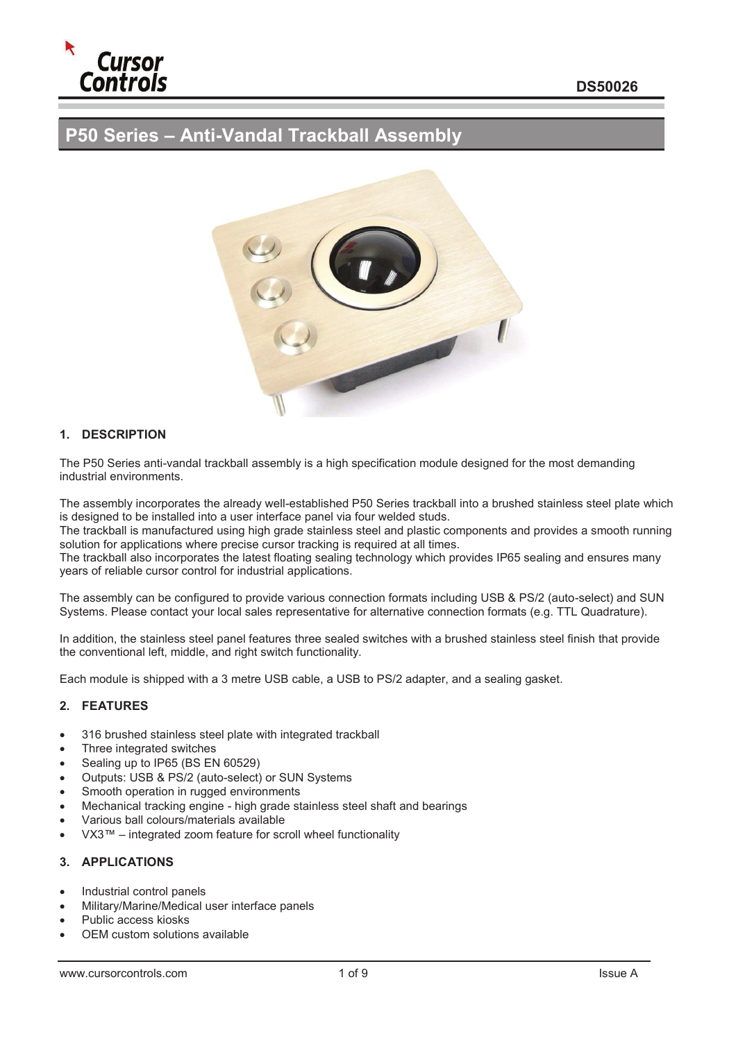

# **P50 Series – Anti-Vandal Trackball Assembly**



## **1. DESCRIPTION**

The P50 Series anti-vandal trackball assembly is a high specification module designed for the most demanding industrial environments.

The assembly incorporates the already well-established P50 Series trackball into a brushed stainless steel plate which is designed to be installed into a user interface panel via four welded studs.

The trackball is manufactured using high grade stainless steel and plastic components and provides a smooth running solution for applications where precise cursor tracking is required at all times.

The trackball also incorporates the latest floating sealing technology which provides IP65 sealing and ensures many years of reliable cursor control for industrial applications.

The assembly can be configured to provide various connection formats including USB & PS/2 (auto-select) and SUN Systems. Please contact your local sales representative for alternative connection formats (e.g. TTL Quadrature).

In addition, the stainless steel panel features three sealed switches with a brushed stainless steel finish that provide the conventional left, middle, and right switch functionality.

Each module is shipped with a 3 metre USB cable, a USB to PS/2 adapter, and a sealing gasket.

#### **2. FEATURES**

- 316 brushed stainless steel plate with integrated trackball
- Three integrated switches
- Sealing up to IP65 (BS EN 60529)
- Outputs: USB & PS/2 (auto-select) or SUN Systems
- Smooth operation in rugged environments
- Mechanical tracking engine high grade stainless steel shaft and bearings
- · Various ball colours/materials available
- · VX3™ integrated zoom feature for scroll wheel functionality

#### **3. APPLICATIONS**

- · Industrial control panels
- Military/Marine/Medical user interface panels
- Public access kiosks
- OFM custom solutions available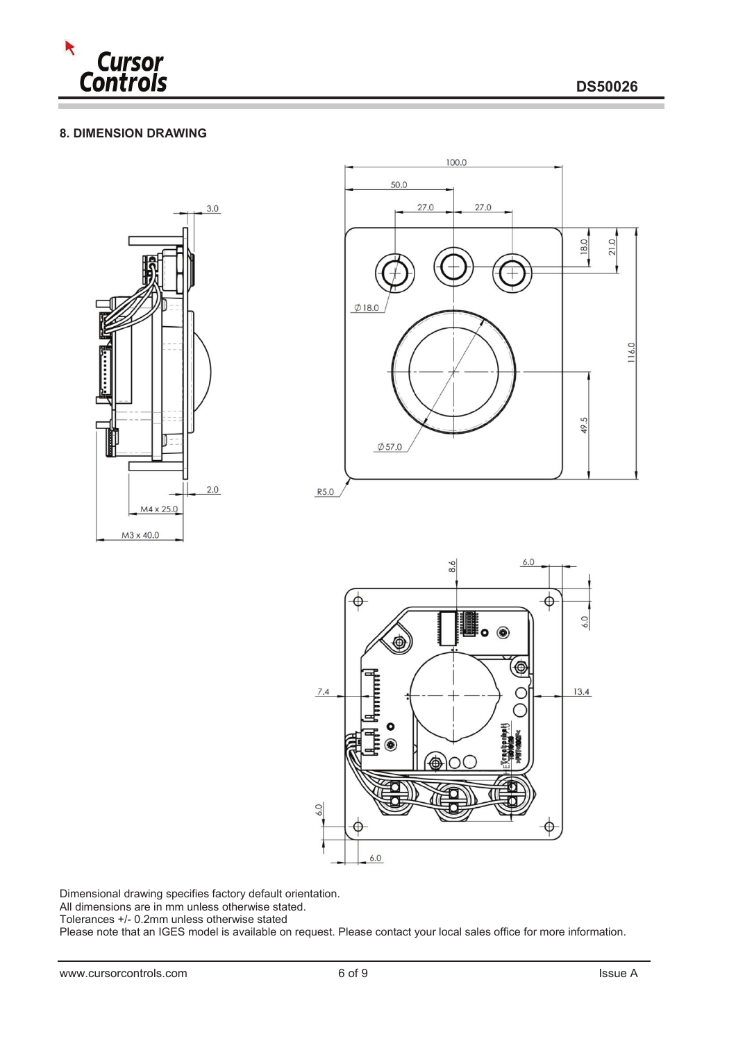

# **8. DIMENSION DRAWING**







Dimensional drawing specifies factory default orientation.

All dimensions are in mm unless otherwise stated.

Tolerances +/- 0.2mm unless otherwise stated

Please note that an IGES model is available on request. Please contact your local sales office for more information.